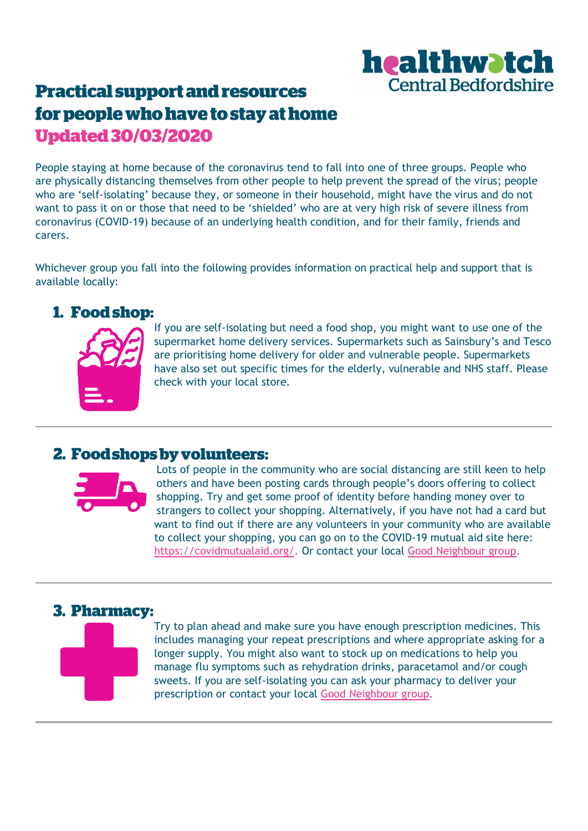# healthwatch **Central Bedfordshire**

## **Practical support and resources** for people who have to stay at home **Updated 30/03/2020**

People staying at home because of the coronavirus tend to fall into one of three groups. People who are physically distancing themselves from other people to help prevent the spread of the virus; people who are 'self-isolating' because they, or someone in their household, might have the virus and do not want to pass it on or those that need to be 'shielded' who are at very high risk of severe illness from coronavirus (COVID-19) because of an underlying health condition, and for their family, friends and carers.

Whichever group you fall into the following provides information on practical help and support that is available locally:

#### 1. Food shop:



If you are self-isolating but need a food shop, you might want to use one of the supermarket home delivery services. Supermarkets such as Sainsbury's and Tesco are prioritising home delivery for older and vulnerable people. Supermarkets have also set out specific times for the elderly, vulnerable and NHS staff. Please check with your local store.

#### 2. Food shops by volunteers:



Lots of people in the community who are social distancing are still keen to help others and have been posting cards through people's doors offering to collect shopping. Try and get some proof of identity before handing money over to strangers to collect your shopping. Alternatively, if you have not had a card but want to find out if there are any volunteers in your community who are available to collect your shopping, you can go on to the COVID-19 mutual aid site here: [https://covidmutualaid.org/.](https://covidmutualaid.org/) Or contact your local [Good Neighbour group.](https://healthwatch-centralbedfordshire.org.uk/wp-content/uploads/2020/03/Bedfordshire-Good-Neighbour-and-Village-Care-Scheme-Network-Cen.pdf)

### 3. Pharmacy:



Try to plan ahead and make sure you have enough prescription medicines. This includes managing your repeat prescriptions and where appropriate asking for a longer supply. You might also want to stock up on medications to help you manage flu symptoms such as rehydration drinks, paracetamol and/or cough sweets. If you are self-isolating you can ask your pharmacy to deliver your prescription or contact your local [Good Neighbour group.](https://healthwatch-centralbedfordshire.org.uk/wp-content/uploads/2020/03/Bedfordshire-Good-Neighbour-and-Village-Care-Scheme-Network-Cen.pdf)